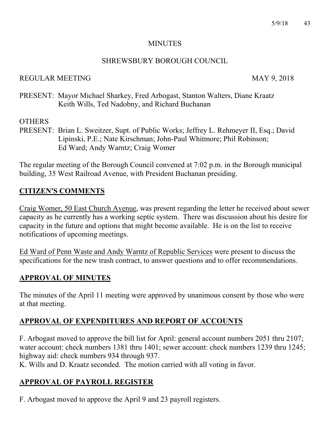#### **MINUTES**

#### SHREWSBURY BOROUGH COUNCIL

### REGULAR MEETING MAY 9, 2018

PRESENT: Mayor Michael Sharkey, Fred Arbogast, Stanton Walters, Diane Kraatz Keith Wills, Ted Nadobny, and Richard Buchanan

## **OTHERS**

PRESENT: Brian L. Sweitzer, Supt. of Public Works; Jeffrey L. Rehmeyer II, Esq.; David Lipinski, P.E.; Nate Kirschman; John-Paul Whitmore; Phil Robinson; Ed Ward; Andy Warntz; Craig Womer

The regular meeting of the Borough Council convened at 7:02 p.m. in the Borough municipal building, 35 West Railroad Avenue, with President Buchanan presiding.

### **CITIZEN'S COMMENTS**

Craig Womer, 50 East Church Avenue, was present regarding the letter he received about sewer capacity as he currently has a working septic system. There was discussion about his desire for capacity in the future and options that might become available. He is on the list to receive notifications of upcoming meetings.

Ed Ward of Penn Waste and Andy Warntz of Republic Services were present to discuss the specifications for the new trash contract, to answer questions and to offer recommendations.

### **APPROVAL OF MINUTES**

The minutes of the April 11 meeting were approved by unanimous consent by those who were at that meeting.

# **APPROVAL OF EXPENDITURES AND REPORT OF ACCOUNTS**

F. Arbogast moved to approve the bill list for April: general account numbers 2051 thru 2107; water account: check numbers 1381 thru 1401; sewer account: check numbers 1239 thru 1245; highway aid: check numbers 934 through 937.

K. Wills and D. Kraatz seconded. The motion carried with all voting in favor.

# **APPROVAL OF PAYROLL REGISTER**

F. Arbogast moved to approve the April 9 and 23 payroll registers.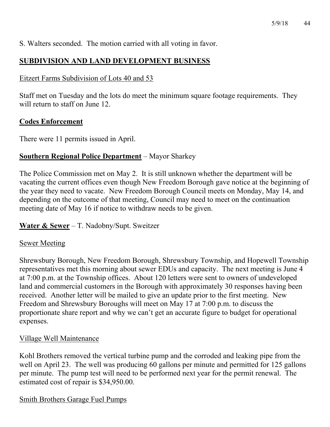S. Walters seconded. The motion carried with all voting in favor.

# **SUBDIVISION AND LAND DEVELOPMENT BUSINESS**

### Eitzert Farms Subdivision of Lots 40 and 53

Staff met on Tuesday and the lots do meet the minimum square footage requirements. They will return to staff on June 12.

## **Codes Enforcement**

There were 11 permits issued in April.

### **Southern Regional Police Department** – Mayor Sharkey

The Police Commission met on May 2. It is still unknown whether the department will be vacating the current offices even though New Freedom Borough gave notice at the beginning of the year they need to vacate. New Freedom Borough Council meets on Monday, May 14, and depending on the outcome of that meeting, Council may need to meet on the continuation meeting date of May 16 if notice to withdraw needs to be given.

### **Water & Sewer** – T. Nadobny/Supt. Sweitzer

### Sewer Meeting

Shrewsbury Borough, New Freedom Borough, Shrewsbury Township, and Hopewell Township representatives met this morning about sewer EDUs and capacity. The next meeting is June 4 at 7:00 p.m. at the Township offices. About 120 letters were sent to owners of undeveloped land and commercial customers in the Borough with approximately 30 responses having been received. Another letter will be mailed to give an update prior to the first meeting. New Freedom and Shrewsbury Boroughs will meet on May 17 at 7:00 p.m. to discuss the proportionate share report and why we can't get an accurate figure to budget for operational expenses.

### Village Well Maintenance

Kohl Brothers removed the vertical turbine pump and the corroded and leaking pipe from the well on April 23. The well was producing 60 gallons per minute and permitted for 125 gallons per minute. The pump test will need to be performed next year for the permit renewal. The estimated cost of repair is \$34,950.00.

### Smith Brothers Garage Fuel Pumps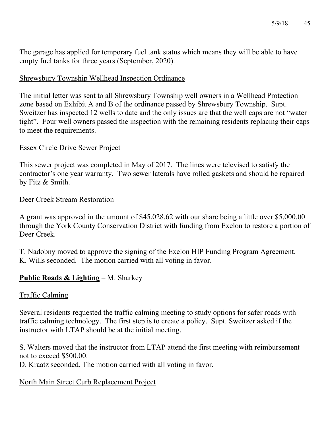The garage has applied for temporary fuel tank status which means they will be able to have empty fuel tanks for three years (September, 2020).

#### Shrewsbury Township Wellhead Inspection Ordinance

The initial letter was sent to all Shrewsbury Township well owners in a Wellhead Protection zone based on Exhibit A and B of the ordinance passed by Shrewsbury Township. Supt. Sweitzer has inspected 12 wells to date and the only issues are that the well caps are not "water tight". Four well owners passed the inspection with the remaining residents replacing their caps to meet the requirements.

#### Essex Circle Drive Sewer Project

This sewer project was completed in May of 2017. The lines were televised to satisfy the contractor's one year warranty. Two sewer laterals have rolled gaskets and should be repaired by Fitz & Smith.

#### Deer Creek Stream Restoration

A grant was approved in the amount of \$45,028.62 with our share being a little over \$5,000.00 through the York County Conservation District with funding from Exelon to restore a portion of Deer Creek.

T. Nadobny moved to approve the signing of the Exelon HIP Funding Program Agreement. K. Wills seconded. The motion carried with all voting in favor.

#### **Public Roads & Lighting** – M. Sharkey

#### Traffic Calming

Several residents requested the traffic calming meeting to study options for safer roads with traffic calming technology. The first step is to create a policy. Supt. Sweitzer asked if the instructor with LTAP should be at the initial meeting.

S. Walters moved that the instructor from LTAP attend the first meeting with reimbursement not to exceed \$500.00.

D. Kraatz seconded. The motion carried with all voting in favor.

#### North Main Street Curb Replacement Project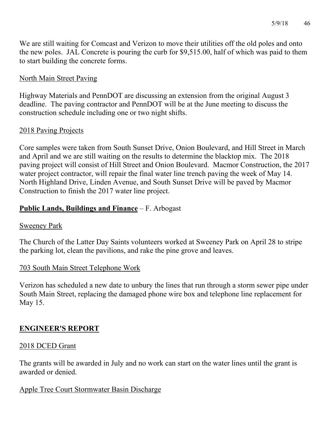We are still waiting for Comcast and Verizon to move their utilities off the old poles and onto the new poles. JAL Concrete is pouring the curb for \$9,515.00, half of which was paid to them to start building the concrete forms.

#### North Main Street Paving

Highway Materials and PennDOT are discussing an extension from the original August 3 deadline. The paving contractor and PennDOT will be at the June meeting to discuss the construction schedule including one or two night shifts.

### 2018 Paving Projects

Core samples were taken from South Sunset Drive, Onion Boulevard, and Hill Street in March and April and we are still waiting on the results to determine the blacktop mix. The 2018 paving project will consist of Hill Street and Onion Boulevard. Macmor Construction, the 2017 water project contractor, will repair the final water line trench paving the week of May 14. North Highland Drive, Linden Avenue, and South Sunset Drive will be paved by Macmor Construction to finish the 2017 water line project.

### **Public Lands, Buildings and Finance** – F. Arbogast

#### Sweeney Park

The Church of the Latter Day Saints volunteers worked at Sweeney Park on April 28 to stripe the parking lot, clean the pavilions, and rake the pine grove and leaves.

#### 703 South Main Street Telephone Work

Verizon has scheduled a new date to unbury the lines that run through a storm sewer pipe under South Main Street, replacing the damaged phone wire box and telephone line replacement for May 15.

### **ENGINEER'S REPORT**

#### 2018 DCED Grant

The grants will be awarded in July and no work can start on the water lines until the grant is awarded or denied.

#### Apple Tree Court Stormwater Basin Discharge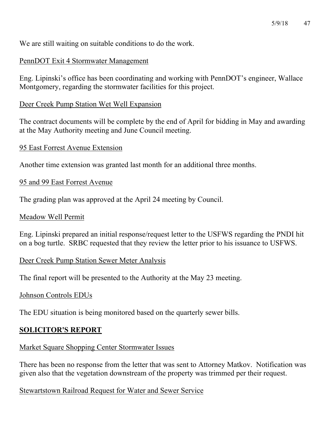We are still waiting on suitable conditions to do the work.

#### PennDOT Exit 4 Stormwater Management

Eng. Lipinski's office has been coordinating and working with PennDOT's engineer, Wallace Montgomery, regarding the stormwater facilities for this project.

#### Deer Creek Pump Station Wet Well Expansion

The contract documents will be complete by the end of April for bidding in May and awarding at the May Authority meeting and June Council meeting.

#### 95 East Forrest Avenue Extension

Another time extension was granted last month for an additional three months.

#### 95 and 99 East Forrest Avenue

The grading plan was approved at the April 24 meeting by Council.

#### Meadow Well Permit

Eng. Lipinski prepared an initial response/request letter to the USFWS regarding the PNDI hit on a bog turtle. SRBC requested that they review the letter prior to his issuance to USFWS.

#### Deer Creek Pump Station Sewer Meter Analysis

The final report will be presented to the Authority at the May 23 meeting.

#### Johnson Controls EDUs

The EDU situation is being monitored based on the quarterly sewer bills.

### **SOLICITOR'S REPORT**

#### Market Square Shopping Center Stormwater Issues

There has been no response from the letter that was sent to Attorney Matkov. Notification was given also that the vegetation downstream of the property was trimmed per their request.

#### Stewartstown Railroad Request for Water and Sewer Service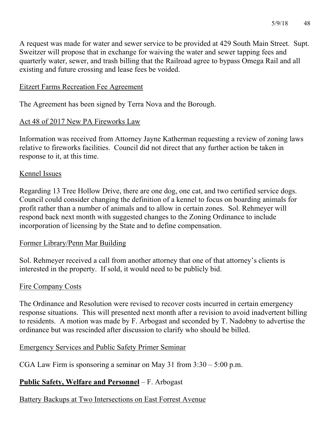A request was made for water and sewer service to be provided at 429 South Main Street. Supt. Sweitzer will propose that in exchange for waiving the water and sewer tapping fees and quarterly water, sewer, and trash billing that the Railroad agree to bypass Omega Rail and all existing and future crossing and lease fees be voided.

#### Eitzert Farms Recreation Fee Agreement

The Agreement has been signed by Terra Nova and the Borough.

### Act 48 of 2017 New PA Fireworks Law

Information was received from Attorney Jayne Katherman requesting a review of zoning laws relative to fireworks facilities. Council did not direct that any further action be taken in response to it, at this time.

### Kennel Issues

Regarding 13 Tree Hollow Drive, there are one dog, one cat, and two certified service dogs. Council could consider changing the definition of a kennel to focus on boarding animals for profit rather than a number of animals and to allow in certain zones. Sol. Rehmeyer will respond back next month with suggested changes to the Zoning Ordinance to include incorporation of licensing by the State and to define compensation.

### Former Library/Penn Mar Building

Sol. Rehmeyer received a call from another attorney that one of that attorney's clients is interested in the property. If sold, it would need to be publicly bid.

### Fire Company Costs

The Ordinance and Resolution were revised to recover costs incurred in certain emergency response situations. This will presented next month after a revision to avoid inadvertent billing to residents. A motion was made by F. Arbogast and seconded by T. Nadobny to advertise the ordinance but was rescinded after discussion to clarify who should be billed.

#### Emergency Services and Public Safety Primer Seminar

CGA Law Firm is sponsoring a seminar on May 31 from 3:30 – 5:00 p.m.

### **Public Safety, Welfare and Personnel** – F. Arbogast

Battery Backups at Two Intersections on East Forrest Avenue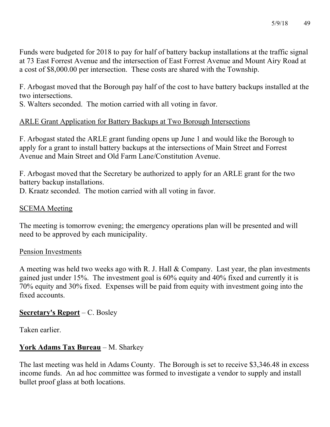Funds were budgeted for 2018 to pay for half of battery backup installations at the traffic signal at 73 East Forrest Avenue and the intersection of East Forrest Avenue and Mount Airy Road at a cost of \$8,000.00 per intersection. These costs are shared with the Township.

F. Arbogast moved that the Borough pay half of the cost to have battery backups installed at the two intersections.

S. Walters seconded. The motion carried with all voting in favor.

### ARLE Grant Application for Battery Backups at Two Borough Intersections

F. Arbogast stated the ARLE grant funding opens up June 1 and would like the Borough to apply for a grant to install battery backups at the intersections of Main Street and Forrest Avenue and Main Street and Old Farm Lane/Constitution Avenue.

F. Arbogast moved that the Secretary be authorized to apply for an ARLE grant for the two battery backup installations.

D. Kraatz seconded. The motion carried with all voting in favor.

### SCEMA Meeting

The meeting is tomorrow evening; the emergency operations plan will be presented and will need to be approved by each municipality.

#### Pension Investments

A meeting was held two weeks ago with R. J. Hall & Company. Last year, the plan investments gained just under 15%. The investment goal is 60% equity and 40% fixed and currently it is 70% equity and 30% fixed. Expenses will be paid from equity with investment going into the fixed accounts.

#### **Secretary's Report** – C. Bosley

Taken earlier.

### **York Adams Tax Bureau** – M. Sharkey

The last meeting was held in Adams County. The Borough is set to receive \$3,346.48 in excess income funds. An ad hoc committee was formed to investigate a vendor to supply and install bullet proof glass at both locations.